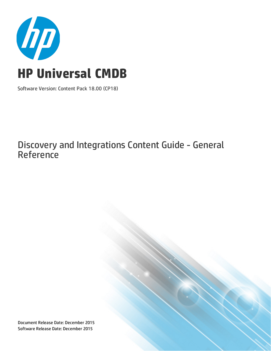

Software Version: Content Pack 18.00 (CP18)

## Discovery and Integrations Content Guide - General **Reference**

Document Release Date: December 2015 Software Release Date: December 2015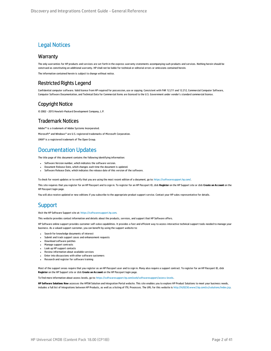### Legal Notices

#### **Warranty**

The only warranties for HP products and services are set forth in the express warranty statements accompanying such products and services. Nothing herein should be construed as constituting an additional warranty. HP shall not be liable for technical or editorial errors or omissions contained herein.

The information contained herein is subject to change without notice.

### Restricted Rights Legend

Confidential computer software. Valid license from HP required for possession, use or copying. Consistent with FAR 12.211 and 12.212, Commercial Computer Software, Computer Software Documentation, and Technical Data for Commercial Items are licensed to the U.S. Government under vendor's standard commercial license.

### Copyright Notice

© 2002 - 2015 Hewlett-Packard Development Company, L.P.

### Trademark Notices

Adobe™ is a trademark of Adobe Systems Incorporated.

Microsoft® and Windows® are U.S. registered trademarks of Microsoft Corporation.

UNIX® is a registered trademark of The Open Group.

### Documentation Updates

The title page of this document contains the following identifying information:

- Software Version number, which indicates the software version.
- <sup>l</sup> Document Release Date, which changes each time the document is updated.
- Software Release Date, which indicates the release date of this version of the software.

To check for recent updates or to verify that you are using the most recent edition of a document, go to: <https://softwaresupport.hp.com/>.

This site requires that you register for an HP Passport and to sign in. To register for an HP Passport ID, click **Register** on the HP Support site or click **Create an Account** on the HP Passport login page.

You will also receive updated or new editions if you subscribe to the appropriate product support service. Contact your HP sales representative for details.

### **Support**

Visit the HP Software Support site at: [https://softwaresupport.hp.com](https://softwaresupport.hp.com/).

This website provides contact information and details about the products, services, and support that HP Software offers.

HP Software online support provides customer self-solve capabilities. It provides a fast and efficient way to access interactive technical support tools needed to manage your business. As a valued support customer, you can benefit by using the support website to:

- **.** Search for knowledge documents of interest
- Submit and track support cases and enhancement requests
- **.** Download software patches
- Manage support contracts
- Look up HP support contacts
- Review information about available services
- Enter into discussions with other software customers
- Research and register for software training

Most of the support areas require that you register as an HP Passport user and to sign in. Many also require a support contract. To register for an HP Passport ID, click **Register** on the HP Support site or click **Create an Account** on the HP Passport login page.

To find more information about access levels, go to: <https://softwaresupport.hp.com/web/softwaresupport/access-levels>.

**HP Software Solutions Now** accesses the HPSW Solution and Integration Portal website. This site enables you to explore HP Product Solutions to meet your business needs, includes a full list of Integrations between HP Products, as well as a listing of ITIL Processes. The URL for this website is <http://h20230.www2.hp.com/sc/solutions/index.jsp>.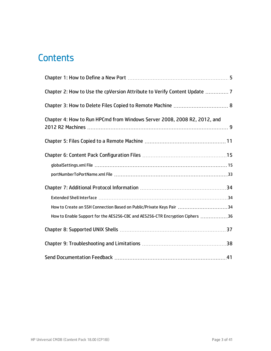## **Contents**

| Chapter 4: How to Run HPCmd from Windows Server 2008, 2008 R2, 2012, and      |  |
|-------------------------------------------------------------------------------|--|
|                                                                               |  |
|                                                                               |  |
|                                                                               |  |
|                                                                               |  |
|                                                                               |  |
|                                                                               |  |
| How to Create an SSH Connection Based on Public/Private Keys Pair 34          |  |
| How to Enable Support for the AES256-CBC and AES256-CTR Encryption Ciphers 36 |  |
|                                                                               |  |
|                                                                               |  |
|                                                                               |  |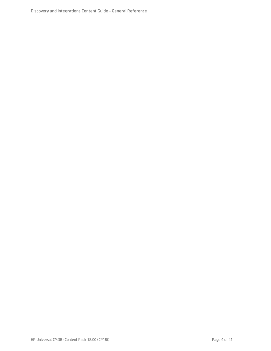Discovery and Integrations Content Guide - General Reference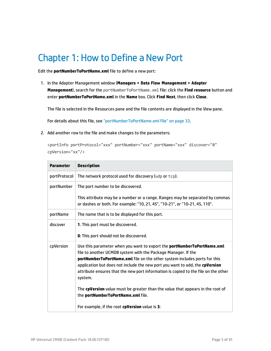## <span id="page-4-0"></span>Chapter 1: How to Define a New Port

Edit the **portNumberToPortName.xml** file to define a new port:

1. In the Adapter Management window (**Managers > Data Flow Management > Adapter Management**), search for the portNumberToPortName.xml file: click the **Find resource** button and enter **portNumberToPortName.xml** in the **Name** box. Click **Find Next**, then click **Close**.

The file is selected in the Resources pane and the file contents are displayed in the View pane.

For details about this file, see ["portNumberToPortName.xml](#page-32-0) File" on page 33.

2. Add another row to the file and make changes to the parameters:

<portInfo portProtocol="xxx" portNumber="xxx" portName="xxx" discover="0" cpVersion="xx"/>

| <b>Parameter</b> | <b>Description</b>                                                                                                                                                                                                                                                                                                                                                                                            |
|------------------|---------------------------------------------------------------------------------------------------------------------------------------------------------------------------------------------------------------------------------------------------------------------------------------------------------------------------------------------------------------------------------------------------------------|
| portProtocol     | The network protocol used for discovery (udp or tcp).                                                                                                                                                                                                                                                                                                                                                         |
| portNumber       | The port number to be discovered.                                                                                                                                                                                                                                                                                                                                                                             |
|                  | This attribute may be a number or a range. Ranges may be separated by commas<br>or dashes or both. For example: "10, 21, 45", "10-21", or "10-21, 45, 110".                                                                                                                                                                                                                                                   |
| portName         | The name that is to be displayed for this port.                                                                                                                                                                                                                                                                                                                                                               |
| discover         | 1. This port must be discovered.                                                                                                                                                                                                                                                                                                                                                                              |
|                  | <b>0</b> : This port should not be discovered.                                                                                                                                                                                                                                                                                                                                                                |
| cpVersion        | Use this parameter when you want to export the <b>portNumberToPortName.xml</b><br>file to another UCMDB system with the Package Manager. If the<br>portNumberToPortName.xml file on the other system includes ports for this<br>application but does not include the new port you want to add, the cpVersion<br>attribute ensures that the new port information is copied to the file on the other<br>system. |
|                  | The cpVersion value must be greater than the value that appears in the root of<br>the portNumberToPortName.xml file.                                                                                                                                                                                                                                                                                          |
|                  | For example, if the root cpVersion value is 3:                                                                                                                                                                                                                                                                                                                                                                |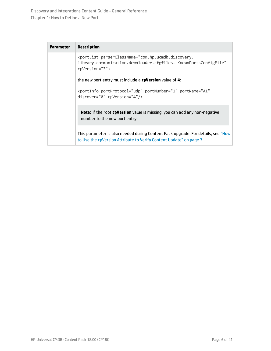Discovery and Integrations Content Guide - General Reference Chapter 1: How to Define a New Port

| <b>Parameter</b> | <b>Description</b>                                                                                                                                               |
|------------------|------------------------------------------------------------------------------------------------------------------------------------------------------------------|
|                  | <portlist <br="" parserclassname="com.hp.ucmdb.discovery.&lt;br&gt;library.communication.downloader.cfgfiles. KnownPortsConfigFile">cpVersion="3"&gt;</portlist> |
|                  | the new port entry must include a <b>cpVersion</b> value of <b>4</b> :                                                                                           |
|                  | <portinfo <br="" portname="A1" portnumber="1" portprotocol="udp">discover="0" cpVersion="4"/&gt;</portinfo>                                                      |
|                  | <b>Note:</b> If the root <b>cpVersion</b> value is missing, you can add any non-negative<br>number to the new port entry.                                        |
|                  | This parameter is also needed during Content Pack upgrade. For details, see "How<br>to Use the cpVersion Attribute to Verify Content Update" on page 7.          |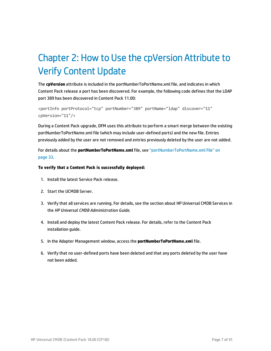# <span id="page-6-0"></span>Chapter 2: How to Use the cpVersion Attribute to Verify Content Update

The **cpVersion** attribute is included in the portNumberToPortName.xml file, and indicates in which Content Pack release a port has been discovered. For example, the following code defines that the LDAP port 389 has been discovered in Content Pack 11.00:

```
<portInfo portProtocol="tcp" portNumber="389" portName="ldap" discover="11"
cpVersion="11"/>
```
During a Content Pack upgrade, DFM uses this attribute to perform a smart merge between the existing portNumberToPortName.xml file (which may include user-defined ports) and the new file. Entries previously added by the user are not removed and entries previously deleted by the user are not added.

For details about the **portNumberToPortName.xml** file, see ["portNumberToPortName.xml](#page-32-0) File" on [page 33](#page-32-0).

#### **To verify that a Content Pack is successfully deployed:**

- 1. Install the latest Service Pack release.
- 2. Start the UCMDB Server.
- 3. Verify that all services are running. For details, see the section about HP Universal CMDB Services in the *HP Universal CMDB Administration Guide*.
- 4. Install and deploy the latest Content Pack release. For details, refer to the Content Pack installation guide.
- 5. In the Adapter Management window, access the **portNumberToPortName.xml** file.
- 6. Verify that no user-defined ports have been deleted and that any ports deleted by the user have not been added.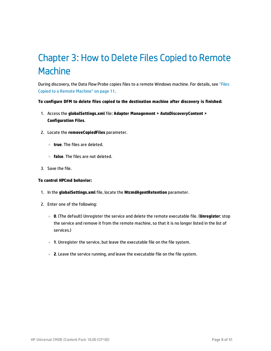# <span id="page-7-0"></span>Chapter 3: How to Delete Files Copied to Remote **Machine**

During discovery, the Data Flow Probe copies files to a remote Windows machine. For details, see ["Files](#page-10-0) Copied to a Remote [Machine"](#page-10-0) on page 11.

#### **To configure DFM to delete files copied to the destination machine after discovery is finished:**

- 1. Access the **globalSettings.xml** file: **Adapter Management > AutoDiscoveryContent > Configuration Files**.
- 2. Locate the **removeCopiedFiles** parameter.
	- <sup>o</sup> **true**. The files are deleted.
	- <sup>o</sup> **false**. The files are not deleted.
- 3. Save the file.

#### **To control HPCmd behavior:**

- 1. In the **globalSettings.xml** file, locate the **NtcmdAgentRetention** parameter.
- 2. Enter one of the following:
	- <sup>o</sup> **0**. (The default) Unregister the service and delete the remote executable file. (**Unregister**: stop the service and remove it from the remote machine, so that it is no longer listed in the list of services.)
	- <sup>o</sup> **1**. Unregister the service, but leave the executable file on the file system.
	- <sup>o</sup> **2**. Leave the service running, and leave the executable file on the file system.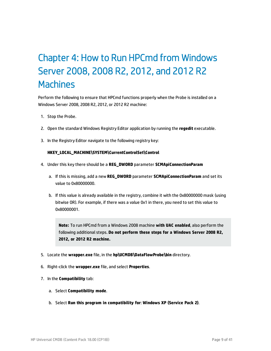# <span id="page-8-0"></span>Chapter 4: How to Run HPCmd from Windows Server 2008, 2008 R2, 2012, and 2012 R2 Machines

Perform the following to ensure that HPCmd functions properly when the Probe is installed on a Windows Server 2008, 2008 R2, 2012, or 2012 R2 machine:

- 1. Stop the Probe.
- 2. Open the standard Windows Registry Editor application by running the **regedit** executable.
- 3. In the Registry Editor navigate to the following registry key:

#### **HKEY\_LOCAL\_MACHINE\SYSTEM\CurrentControlSet\Control**

- 4. Under this key there should be a **REG\_DWORD** parameter **SCMApiConnectionParam**
	- a. If this is missing, add a new **REG\_DWORD** parameter **SCMApiConnectionParam** and set its value to 0x80000000.
	- b. If this value is already available in the registry, combine it with the 0x80000000 mask (using bitwise OR). For example, if there was a value 0x1 in there, you need to set this value to 0x80000001.

**Note:** To run HPCmd from a Windows 2008 machine **with UAC enabled**, also perform the following additional steps. **Do not perform these steps for a Windows Server 2008 R2, 2012, or 2012 R2 machine.**

- 5. Locate the **wrapper.exe** file, in the **hp\UCMDB\DataFlowProbe\bin** directory.
- 6. Right-click the **wrapper.exe** file, and select **Properties**.
- 7. In the **Compatibility** tab:
	- a. Select **Compatibility mode**.
	- b. Select **Run this program in compatibility for**: **Windows XP (Service Pack 2)**.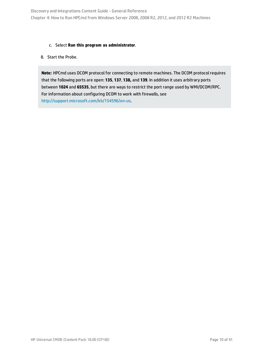Discovery and Integrations Content Guide - General Reference Chapter 4: How to Run HPCmd from Windows Server 2008, 2008 R2, 2012, and 2012 R2 Machines

#### c. Select **Run this program as administrator**.

#### 8. Start the Probe.

**Note:** HPCmd uses DCOM protocol for connecting to remote machines. The DCOM protocol requires that the following ports are open: **135**, **137**, **138,** and **139**. In addition it uses arbitrary ports between **1024** and **65535**, but there are ways to restrict the port range used by WMI/DCOM/RPC. For information about configuring DCOM to work with firewalls, see [http://support.microsoft.com/kb/154596/en-us.](http://support.microsoft.com/kb/154596/en-us)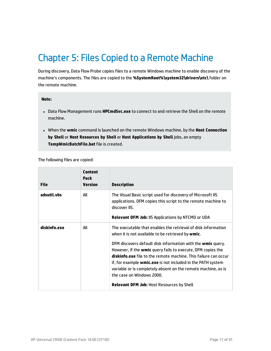## <span id="page-10-0"></span>Chapter 5: Files Copied to a Remote Machine

During discovery, Data Flow Probe copies files to a remote Windows machine to enable discovery of the machine's components. The files are copied to the **%SystemRoot%\system32\drivers\etc\** folder on the remote machine.

#### **Note:**

- **.** Data Flow Management runs **HPCmdSvc.exe** to connect to and retrieve the Shell on the remote machine.
- <sup>l</sup> When the **wmic** command is launched on the remote Windows machine, by the **Host Connection by Shell** or **Host Resources by Shell** or **Host Applications by Shell** jobs, an empty **TempWmicBatchFile.bat** file is created.

The following files are copied:

| <b>File</b>  | <b>Content</b><br>Pack<br><b>Version</b> | <b>Description</b>                                                                                                                                                                                                                                                                                                                                                                                                                                                                                                                   |
|--------------|------------------------------------------|--------------------------------------------------------------------------------------------------------------------------------------------------------------------------------------------------------------------------------------------------------------------------------------------------------------------------------------------------------------------------------------------------------------------------------------------------------------------------------------------------------------------------------------|
| adsutil.vbs  | All                                      | The Visual Basic script used for discovery of Microsoft IIS<br>applications. DFM copies this script to the remote machine to<br>discover IIS.<br><b>Relevant DFM Job: IIS Applications by NTCMD or UDA</b>                                                                                                                                                                                                                                                                                                                           |
| diskinfo.exe | All                                      | The executable that enables the retrieval of disk information<br>when it is not available to be retrieved by wmic.<br>DFM discovers default disk information with the wmic query.<br>However, if the wmic query fails to execute, DFM copies the<br>diskinfo.exe file to the remote machine. This failure can occur<br>if, for example wmic.exe is not included in the PATH system<br>variable or is completely absent on the remote machine, as is<br>the case on Windows 2000.<br><b>Relevant DFM Job: Host Resources by Shell</b> |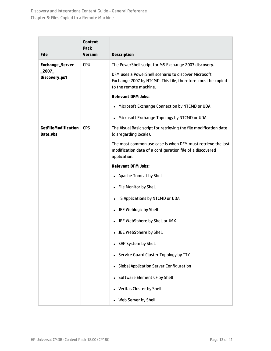| <b>File</b>                            | <b>Content</b><br>Pack<br><b>Version</b> | <b>Description</b>                                                                                                                             |
|----------------------------------------|------------------------------------------|------------------------------------------------------------------------------------------------------------------------------------------------|
| <b>Exchange_Server</b>                 | CP4                                      | The PowerShell script for MS Exchange 2007 discovery.                                                                                          |
| $\_$ 2007 $\_$<br>Discovery.ps1        |                                          | DFM uses a PowerShell scenario to discover Microsoft<br>Exchange 2007 by NTCMD. This file, therefore, must be copied<br>to the remote machine. |
|                                        |                                          | <b>Relevant DFM Jobs:</b>                                                                                                                      |
|                                        |                                          | Microsoft Exchange Connection by NTCMD or UDA<br>$\bullet$                                                                                     |
|                                        |                                          | Microsoft Exchange Topology by NTCMD or UDA<br>$\bullet$                                                                                       |
| <b>GetFileModification</b><br>Date.vbs | CP <sub>5</sub>                          | The Visual Basic script for retrieving the file modification date<br>(disregarding locale).                                                    |
|                                        |                                          | The most common use case is when DFM must retrieve the last<br>modification date of a configuration file of a discovered<br>application.       |
|                                        |                                          | <b>Relevant DFM Jobs:</b>                                                                                                                      |
|                                        |                                          | <b>Apache Tomcat by Shell</b><br>$\bullet$                                                                                                     |
|                                        |                                          | <b>File Monitor by Shell</b><br>$\bullet$                                                                                                      |
|                                        |                                          | IIS Applications by NTCMD or UDA<br>$\bullet$                                                                                                  |
|                                        |                                          | JEE Weblogic by Shell<br>$\bullet$                                                                                                             |
|                                        |                                          | JEE WebSphere by Shell or JMX<br>$\bullet$                                                                                                     |
|                                        |                                          | JEE WebSphere by Shell<br>$\bullet$                                                                                                            |
|                                        |                                          | • SAP System by Shell                                                                                                                          |
|                                        |                                          | Service Guard Cluster Topology by TTY<br>$\bullet$                                                                                             |
|                                        |                                          | <b>Siebel Application Server Configuration</b><br>$\bullet$                                                                                    |
|                                        |                                          | Software Element CF by Shell<br>$\bullet$                                                                                                      |
|                                        |                                          | Veritas Cluster by Shell<br>$\bullet$                                                                                                          |
|                                        |                                          | Web Server by Shell<br>$\bullet$                                                                                                               |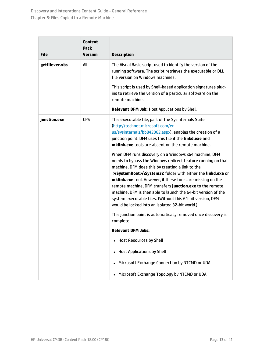| <b>File</b>    | <b>Content</b><br>Pack<br><b>Version</b> | <b>Description</b>                                                                                                                                                                                                                                                                                                                                                                                                                                                                                                                                  |
|----------------|------------------------------------------|-----------------------------------------------------------------------------------------------------------------------------------------------------------------------------------------------------------------------------------------------------------------------------------------------------------------------------------------------------------------------------------------------------------------------------------------------------------------------------------------------------------------------------------------------------|
| getfilever.vbs | All                                      | The Visual Basic script used to identify the version of the<br>running software. The script retrieves the executable or DLL<br>file version on Windows machines.                                                                                                                                                                                                                                                                                                                                                                                    |
|                |                                          | This script is used by Shell-based application signatures plug-<br>ins to retrieve the version of a particular software on the<br>remote machine.                                                                                                                                                                                                                                                                                                                                                                                                   |
|                |                                          | <b>Relevant DFM Job: Host Applications by Shell</b>                                                                                                                                                                                                                                                                                                                                                                                                                                                                                                 |
| junction.exe   | CP <sub>5</sub>                          | This executable file, part of the Sysinternals Suite<br>(http://technet.microsoft.com/en-<br>us/sysinternals/bb842062.aspx), enables the creation of a<br>junction point. DFM uses this file if the linkd.exe and<br>mklink.exe tools are absent on the remote machine.                                                                                                                                                                                                                                                                             |
|                |                                          | When DFM runs discovery on a Windows x64 machine, DFM<br>needs to bypass the Windows redirect feature running on that<br>machine. DFM does this by creating a link to the<br>%SystemRoot%\System32 folder with either the linkd.exe or<br>mklink.exe tool. However, if these tools are missing on the<br>remote machine, DFM transfers junction.exe to the remote<br>machine. DFM is then able to launch the 64-bit version of the<br>system executable files. (Without this 64-bit version, DFM<br>would be locked into an isolated 32-bit world.) |
|                |                                          | This junction point is automatically removed once discovery is<br>complete.                                                                                                                                                                                                                                                                                                                                                                                                                                                                         |
|                |                                          | <b>Relevant DFM Jobs:</b>                                                                                                                                                                                                                                                                                                                                                                                                                                                                                                                           |
|                |                                          | <b>Host Resources by Shell</b><br>$\bullet$                                                                                                                                                                                                                                                                                                                                                                                                                                                                                                         |
|                |                                          | <b>Host Applications by Shell</b><br>$\bullet$                                                                                                                                                                                                                                                                                                                                                                                                                                                                                                      |
|                |                                          | Microsoft Exchange Connection by NTCMD or UDA<br>$\bullet$                                                                                                                                                                                                                                                                                                                                                                                                                                                                                          |
|                |                                          | Microsoft Exchange Topology by NTCMD or UDA<br>$\bullet$                                                                                                                                                                                                                                                                                                                                                                                                                                                                                            |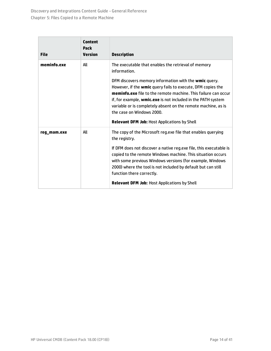| <b>File</b> | <b>Content</b><br><b>Pack</b><br><b>Version</b> | <b>Description</b>                                                                                                                                                                                                                                                                                                                                                                                                                                                                        |
|-------------|-------------------------------------------------|-------------------------------------------------------------------------------------------------------------------------------------------------------------------------------------------------------------------------------------------------------------------------------------------------------------------------------------------------------------------------------------------------------------------------------------------------------------------------------------------|
| meminfo.exe | All                                             | The executable that enables the retrieval of memory<br>information.<br>DFM discovers memory information with the wmic query.<br>However, if the wmic query fails to execute, DFM copies the<br><b>meminfo.exe</b> file to the remote machine. This failure can occur<br>if, for example, wmic.exe is not included in the PATH system<br>variable or is completely absent on the remote machine, as is<br>the case on Windows 2000.<br><b>Relevant DFM Job: Host Applications by Shell</b> |
| reg_mam.exe | All                                             | The copy of the Microsoft reg.exe file that enables querying<br>the registry.<br>If DFM does not discover a native reg.exe file, this executable is<br>copied to the remote Windows machine. This situation occurs<br>with some previous Windows versions (for example, Windows<br>2000) where the tool is not included by default but can still<br>function there correctly.<br><b>Relevant DFM Job: Host Applications by Shell</b>                                                      |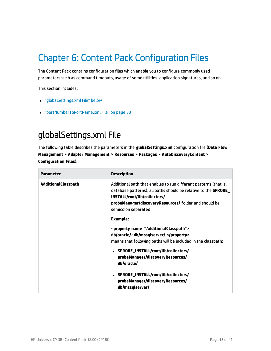# <span id="page-14-0"></span>Chapter 6: Content Pack Configuration Files

The Content Pack contains configuration files which enable you to configure commonly used parameters such as command timeouts, usage of some utilities, application signatures, and so on.

This section includes:

- <sup>l</sup> ["globalSettings.xml](#page-14-1) File" below
- <span id="page-14-1"></span><sup>l</sup> ["portNumberToPortName.xml](#page-32-0) File" on page 33

## globalSettings.xml File

The following table describes the parameters in the **globalSettings.xml** configuration file (**Data Flow Management > Adapter Management > Resources > Packages > AutoDiscoveryContent > Configuration Files**):

| <b>Parameter</b>           | <b>Description</b>                                                                                                                                                                                                                                         |
|----------------------------|------------------------------------------------------------------------------------------------------------------------------------------------------------------------------------------------------------------------------------------------------------|
| <b>AdditionalClasspath</b> | Additional path that enables to run different patterns (that is,<br>database patterns); all paths should be relative to the <b>\$PROBE</b><br>INSTALL/root/lib/collectors/<br>probeManager/discoveryResources/ folder and should be<br>semicolon separated |
|                            | <b>Example:</b>                                                                                                                                                                                                                                            |
|                            | <property name="AdditionalClasspath"></property>                                                                                                                                                                                                           |
|                            | db/oracle/.;db/mssqlserver/.                                                                                                                                                                                                                               |
|                            | means that following paths will be included in the classpath:                                                                                                                                                                                              |
|                            | • \$PROBE_INSTALL/root/lib/collectors/                                                                                                                                                                                                                     |
|                            | probeManager/discoveryResources/                                                                                                                                                                                                                           |
|                            | db/oracle/                                                                                                                                                                                                                                                 |
|                            | \$PROBE_INSTALL/root/lib/collectors/                                                                                                                                                                                                                       |
|                            | probeManager/discoveryResources/                                                                                                                                                                                                                           |
|                            | db/mssqlserver/                                                                                                                                                                                                                                            |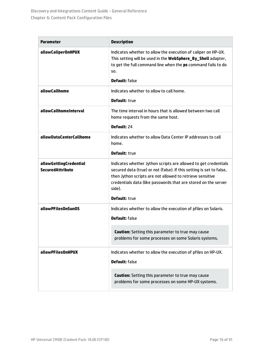| Parameter                                         | <b>Description</b>                                                                                                                                                                                                                                                                                       |
|---------------------------------------------------|----------------------------------------------------------------------------------------------------------------------------------------------------------------------------------------------------------------------------------------------------------------------------------------------------------|
| allowCaliperOnHPUX                                | Indicates whether to allow the execution of caliper on HP-UX.<br>This setting will be used in the WebSphere_By_Shell adapter,<br>to get the full command line when the ps command fails to do<br><b>SO.</b><br><b>Default: false</b>                                                                     |
| <b>allowCallhome</b>                              | Indicates whether to allow to call home.<br><b>Default: true</b>                                                                                                                                                                                                                                         |
| allowCallhomeInterval                             | The time interval in hours that is allowed between two call<br>home requests from the same host.<br>Default: 24                                                                                                                                                                                          |
| allowDataCenterCallhome                           | Indicates whether to allow Data Center IP addresses to call<br>home.<br><b>Default: true</b>                                                                                                                                                                                                             |
| allowGettingCredential<br><b>SecuredAttribute</b> | Indicates whether Jython scripts are allowed to get credentials<br>secured data (true) or not (false). If this setting is set to false,<br>then Jython scripts are not allowed to retrieve sensitive<br>credentials data (like passwords that are stored on the server<br>side).<br><b>Default: true</b> |
| allow PFiles On SunOS                             | Indicates whether to allow the execution of pfiles on Solaris.<br><b>Default: false</b>                                                                                                                                                                                                                  |
|                                                   | <b>Caution:</b> Setting this parameter to true may cause<br>problems for some processes on some Solaris systems.                                                                                                                                                                                         |
| allow PFilesOnHPUX                                | Indicates whether to allow the execution of pfiles on HP-UX.<br><b>Default: false</b>                                                                                                                                                                                                                    |
|                                                   | <b>Caution:</b> Setting this parameter to true may cause<br>problems for some processes on some HP-UX systems.                                                                                                                                                                                           |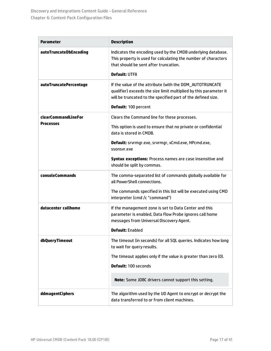| Parameter              | <b>Description</b>                                                                                                                                                                                                    |
|------------------------|-----------------------------------------------------------------------------------------------------------------------------------------------------------------------------------------------------------------------|
| autoTruncateDbEncoding | Indicates the encoding used by the CMDB underlying database.<br>This property is used for calculating the number of characters<br>that should be sent after truncation.                                               |
|                        | <b>Default: UTF8</b>                                                                                                                                                                                                  |
| autoTruncatePercentage | If the value of the attribute (with the DDM_AUTOTRUNCATE<br>qualifier) exceeds the size limit multiplied by this parameter it<br>will be truncated to the specified part of the defined size.<br>Default: 100 percent |
| clearCommandLineFor    | Clears the Command line for these processes.                                                                                                                                                                          |
| <b>Processes</b>       | This option is used to ensure that no private or confidential<br>data is stored in CMDB.                                                                                                                              |
|                        | Default: srvrmgr.exe, srvrmgr, xCmd.exe, HPcmd.exe,<br>ssonsyr.exe                                                                                                                                                    |
|                        | Syntax exceptions: Process names are case insensitive and<br>should be split by commas.                                                                                                                               |
| consoleCommands        | The comma-separated list of commands globally available for<br>all PowerShell connections.                                                                                                                            |
|                        | The commands specified in this list will be executed using CMD<br>interpreter (cmd /c "command")                                                                                                                      |
| datacenter callhome    | If the management zone is set to Data Center and this<br>parameter is enabled, Data Flow Probe ignores call home<br>messages from Universal Discovery Agent.<br>Default: Enabled                                      |
| dbQueryTimeout         | The timeout (in seconds) for all SQL queries. Indicates how long<br>to wait for query results.                                                                                                                        |
|                        | The timeout applies only if the value is greater than zero (0).                                                                                                                                                       |
|                        | Default: 100 seconds                                                                                                                                                                                                  |
|                        | Note: Some JDBC drivers cannot support this setting.                                                                                                                                                                  |
| ddmagentCiphers        | The algorithm used by the UD Agent to encrypt or decrypt the<br>data transferred to or from client machines.                                                                                                          |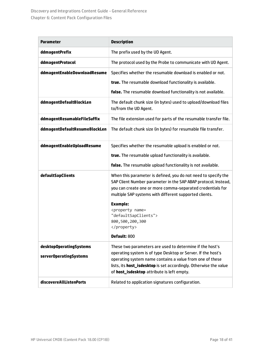| <b>Parameter</b>              | <b>Description</b>                                                                                                                                                                                                                                       |
|-------------------------------|----------------------------------------------------------------------------------------------------------------------------------------------------------------------------------------------------------------------------------------------------------|
| ddmagentPrefix                | The prefix used by the UD Agent.                                                                                                                                                                                                                         |
| ddmagentProtocol              | The protocol used by the Probe to communicate with UD Agent.                                                                                                                                                                                             |
| ddmagentEnableDownloadResume  | Specifies whether the resumable download is enabled or not.                                                                                                                                                                                              |
|                               | true. The resumable download functionality is available.                                                                                                                                                                                                 |
|                               | false. The resumable download functionality is not available.                                                                                                                                                                                            |
| ddmagentDefaultBlockLen       | The default chunk size (in bytes) used to upload/download files<br>to/from the UD Agent.                                                                                                                                                                 |
| ddmagentResumableFileSuffix   | The file extension used for parts of the resumable transfer file.                                                                                                                                                                                        |
| ddmagentDefaultResumeBlockLen | The default chunk size (in bytes) for resumable file transfer.                                                                                                                                                                                           |
| ddmagentEnableUploadResume    | Specifies whether the resumable upload is enabled or not.<br>true. The resumable upload functionality is available.<br>false. The resumable upload functionality is not available.                                                                       |
| defaultSapClients             | When this parameter is defined, you do not need to specify the<br>SAP Client Number parameter in the SAP ABAP protocol. Instead,<br>you can create one or more comma-separated credentials for<br>multiple SAP systems with different supported clients. |
|                               | <b>Example:</b><br><property name="&lt;br">"defaultSapClients"&gt;<br/>800,500,200,300<br/></property><br>Default: 800                                                                                                                                   |
| desktopOperatingSystems       | These two parameters are used to determine if the host's                                                                                                                                                                                                 |
| serverOperatingSystems        | operating system is of type Desktop or Server. If the host's<br>operating system name contains a value from one of these<br>lists, its host_isdesktop is set accordingly. Otherwise the value<br>of host_isdesktop attribute is left empty.              |
| discovereAllListenPorts       | Related to application signatures configuration.                                                                                                                                                                                                         |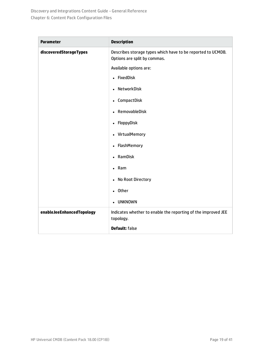| <b>Parameter</b>          | <b>Description</b>                                                                          |
|---------------------------|---------------------------------------------------------------------------------------------|
| discoveredStorageTypes    | Describes storage types which have to be reported to UCMDB.<br>Options are split by commas. |
|                           | Available options are:                                                                      |
|                           | FixedDisk<br>$\bullet$                                                                      |
|                           | NetworkDisk<br>$\bullet$                                                                    |
|                           | CompactDisk<br>$\bullet$                                                                    |
|                           | RemovableDisk<br>$\bullet$                                                                  |
|                           | FloppyDisk<br>$\bullet$                                                                     |
|                           | • VirtualMemory                                                                             |
|                           | FlashMemory<br>$\bullet$                                                                    |
|                           | RamDisk<br>$\bullet$                                                                        |
|                           | $\bullet$ Ram                                                                               |
|                           | No Root Directory                                                                           |
|                           | <b>Other</b><br>$\bullet$                                                                   |
|                           | <b>UNKNOWN</b><br>$\bullet$                                                                 |
| enableJeeEnhancedTopology | Indicates whether to enable the reporting of the improved JEE<br>topology.                  |
|                           | <b>Default: false</b>                                                                       |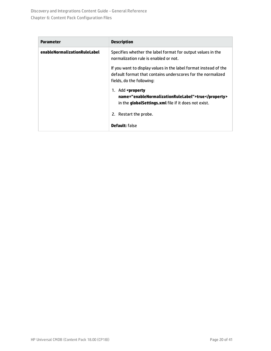| <b>Parameter</b>             | <b>Description</b>                                                                                                                                           |
|------------------------------|--------------------------------------------------------------------------------------------------------------------------------------------------------------|
| enableNormalizationRuleLabel | Specifies whether the label format for output values in the<br>normalization rule is enabled or not.                                                         |
|                              | If you want to display values in the label format instead of the<br>default format that contains underscores for the normalized<br>fields, do the following: |
|                              | 1. Add <b><i>sproperty</i></b><br>name="enableNormalizationRuleLabel">true<br>in the <b>globalSettings.xml</b> file if it does not exist.                    |
|                              | 2. Restart the probe.                                                                                                                                        |
|                              | <b>Default:</b> false                                                                                                                                        |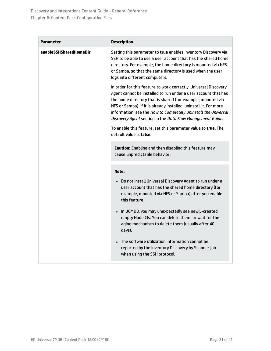| Parameter              | <b>Description</b>                                                                                                                                                                                                                                                                                                                                                                                     |
|------------------------|--------------------------------------------------------------------------------------------------------------------------------------------------------------------------------------------------------------------------------------------------------------------------------------------------------------------------------------------------------------------------------------------------------|
| enableSSHSharedHomeDir | Setting this parameter to true enables Inventory Discovery via<br>SSH to be able to use a user account that has the shared home<br>directory. For example, the home directory is mounted via NFS<br>or Samba, so that the same directory is used when the user<br>logs into different computers.                                                                                                       |
|                        | In order for this feature to work correctly, Universal Discovery<br>Agent cannot be installed to run under a user account that has<br>the home directory that is shared (for example, mounted via<br>NFS or Samba). If it is already installed, uninstall it. For more<br>information, see the How to Completely Uninstall the Universal<br>Discovery Agent section in the Data Flow Management Guide. |
|                        | To enable this feature, set this parameter value to true. The<br>default value is false.                                                                                                                                                                                                                                                                                                               |
|                        | Caution: Enabling and then disabling this feature may<br>cause unpredictable behavior.                                                                                                                                                                                                                                                                                                                 |
|                        | Note:                                                                                                                                                                                                                                                                                                                                                                                                  |
|                        | Do not install Universal Discovery Agent to run under a<br>user account that has the shared home directory (for<br>example, mounted via NFS or Samba) after you enable<br>this feature.                                                                                                                                                                                                                |
|                        | In UCMDB, you may unexpectedly see newly-created<br>empty Node CIs. You can delete them, or wait for the<br>aging mechanism to delete them (usually after 40<br>days).                                                                                                                                                                                                                                 |
|                        | The software utilization information cannot be<br>reported by the Inventory Discovery by Scanner job<br>when using the SSH protocol.                                                                                                                                                                                                                                                                   |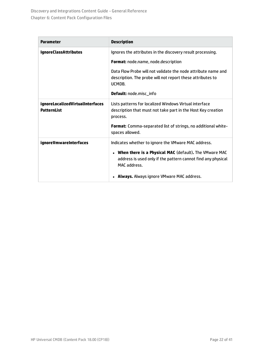| <b>Parameter</b>                                       | <b>Description</b>                                                                                                                                                                                                                                                           |
|--------------------------------------------------------|------------------------------------------------------------------------------------------------------------------------------------------------------------------------------------------------------------------------------------------------------------------------------|
| <b>IgnoreClassAttributes</b>                           | Ignores the attributes in the discovery result processing.<br>Format: node.name, node.description<br>Data Flow Probe will not validate the node attribute name and<br>description. The probe will not report these attributes to<br>UCMDB.<br><b>Default: node.misc_info</b> |
| ignoreLocalizedVirtualInterfaces<br><b>PatternList</b> | Lists patterns for localized Windows Virtual interface<br>description that must not take part in the Host Key creation<br>process.<br>Format: Comma-separated list of strings, no additional white-<br>spaces allowed.                                                       |
| ignoreVmwareInterfaces                                 | Indicates whether to ignore the VMware MAC address.<br>When there is a Physical MAC (default). The VMware MAC<br>$\bullet$<br>address is used only if the pattern cannot find any physical<br>MAC address.<br><b>Always.</b> Always ignore VMware MAC address.<br>$\bullet$  |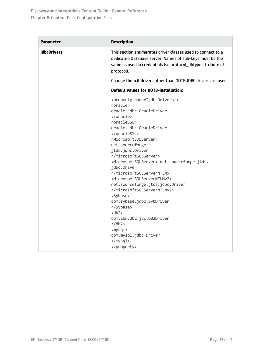| <b>Parameter</b>   | <b>Description</b>                                                                                                                                                                                                                                                                                                                                                                                                                                                                                                                                                                                                                |
|--------------------|-----------------------------------------------------------------------------------------------------------------------------------------------------------------------------------------------------------------------------------------------------------------------------------------------------------------------------------------------------------------------------------------------------------------------------------------------------------------------------------------------------------------------------------------------------------------------------------------------------------------------------------|
| <b>jdbcDrivers</b> | This section enumerates driver classes used to connect to a<br>dedicated Database server. Names of sub-keys must be the<br>same as used in credentials (sqlprotocol_dbtype attribute of<br>protocol).                                                                                                                                                                                                                                                                                                                                                                                                                             |
|                    | Change them if drivers other than OOTB JDBC drivers are used.                                                                                                                                                                                                                                                                                                                                                                                                                                                                                                                                                                     |
|                    | <b>Default values for OOTB-installation:</b>                                                                                                                                                                                                                                                                                                                                                                                                                                                                                                                                                                                      |
|                    | <property name="jdbcDrivers:><br><oracle><br/>oracle.jdbc.OracleDriver<br/></oracle><br><oraclessl><br/>oracle.jdbc.OracleDriver<br/></oraclessl><br><microsoftsqlserver><br/>net.sourceforge.<br/>jtds.jdbc.Driver<br/></microsoftsqlserver><br><microsoftsqlserver> net.sourceforge.jtds.<br/>jdbc.Driver<br/><br/><microsoftsqlserverntlmv2><br/>net.sourceforge.jtds.jdbc.Driver<br/></microsoftsqlserverntlmv2><br/><sybase><br/>com.sybase.jdbc.SybDriver<br/></sybase><br/>db2<br/>com.ibm.db2.jcc.DB2Driver<br/><math>\langle</math>/db2&gt;<br/><mysql><br/>com.mysql.jdbc.Driver<br/></mysql><br/></microsoftsqlserver> |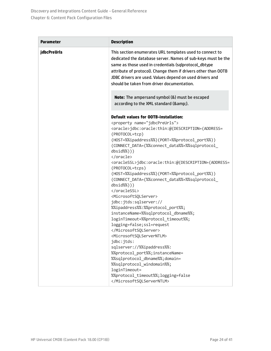| <b>Parameter</b>   | <b>Description</b>                                                                                                                                                                                                                                                                                                                                                                                                                                                                                                                                                                                                                                                                                                                                                                                                                                                                                                                                                                                                                                     |
|--------------------|--------------------------------------------------------------------------------------------------------------------------------------------------------------------------------------------------------------------------------------------------------------------------------------------------------------------------------------------------------------------------------------------------------------------------------------------------------------------------------------------------------------------------------------------------------------------------------------------------------------------------------------------------------------------------------------------------------------------------------------------------------------------------------------------------------------------------------------------------------------------------------------------------------------------------------------------------------------------------------------------------------------------------------------------------------|
| <b>jdbcPreUrls</b> | This section enumerates URL templates used to connect to<br>dedicated the database server. Names of sub-keys must be the<br>same as those used in credentials (sqlprotocol_dbtype<br>attribute of protocol). Change them if drivers other than OOTB<br>JDBC drivers are used. Values depend on used drivers and<br>should be taken from driver documentation.                                                                                                                                                                                                                                                                                                                                                                                                                                                                                                                                                                                                                                                                                          |
|                    | Note: The ampersand symbol (&) must be escaped<br>according to the XML standard (&).                                                                                                                                                                                                                                                                                                                                                                                                                                                                                                                                                                                                                                                                                                                                                                                                                                                                                                                                                                   |
|                    | <b>Default values for OOTB-installation:</b><br><property name="jdbcPreUrls"><br/><oracle>jdbc:oracle:thin:@(DESCRIPTION=(ADDRESS=<br/>(PROTOCOL=tcp)<br/>(HOST=%%ipaddress%%)(PORT=%%protocol_port%%))<br/>(CONNECT_DATA=(%%connect_data%%=%%sqlprotocol_<br/><math>dbsid\%))</math><br/></oracle><br/><oraclessl>jdbc:oracle:thin:@(DESCRIPTION=(ADDRESS=<br/>(PROTOCOL=tcps)<br/>(HOST=%%ipaddress%%)(PORT=%%protocol_port%%))<br/>(CONNECT_DATA=(%%connect_data%%=%%sqlprotocol_<br/><math>dbsid\%))</math><br/></oraclessl><br/><microsoftsqlserver><br/>jdbc:jtds:sqlserver://<br/>%%ipaddress%%:%%protocol_port%%;<br/>instanceName=%%sqlprotocol dbname%%;<br/>loginTimeout=%%protocol_timeout%%;<br/>logging=false; ssl=request<br/></microsoftsqlserver><br/><microsoftsqlserverntlm><br/>jdbc: jtds:<br/>sqlserver://%%ipaddress%%:<br/>%%protocol_port%%;instanceName=<br/>%%sqlprotocol dbname%%;domain=<br/>%%sqlprotocol_windomain%%;<br/>loginTimeout=<br/>%%protocol_timeout%%;logging=false<br/></microsoftsqlserverntlm></property> |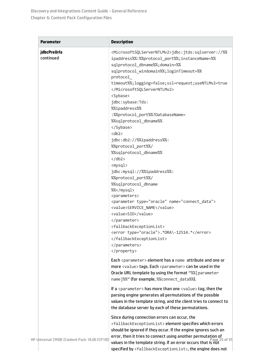| <b>Parameter</b>                              | <b>Description</b>                                                                                                                                                                                                                                                                                                                                                                                                                                                                                                                                                                                                                                                                                                                                                                                                                                                                                                 |
|-----------------------------------------------|--------------------------------------------------------------------------------------------------------------------------------------------------------------------------------------------------------------------------------------------------------------------------------------------------------------------------------------------------------------------------------------------------------------------------------------------------------------------------------------------------------------------------------------------------------------------------------------------------------------------------------------------------------------------------------------------------------------------------------------------------------------------------------------------------------------------------------------------------------------------------------------------------------------------|
| <b>jdbcPreUrls</b><br>continued               | <microsoftsqlserverntlmv2>jdbc:jtds:sqlserver://%%<br/>ipaddress%%:%%protocol_port%%;instanceName=%%<br/>sqlprotocol_dbname%%;domain=%%<br/>sqlprotocol_windomain%%;loginTimeout=%%<br/>protocol<br/>timeout%%;logging=false;ssl=request;useNTLMv2=true<br/></microsoftsqlserverntlmv2><br><sybase><br/>jdbc:sybase:Tds:<br/>%%ipaddress%<br/>:%%protocol_port%%?DatabaseName=<br/>%%sqlprotocol_dbname%%<br/></sybase><br>$<$ db2><br>jdbc:db2://%%ipaddress%%:<br>%%protocol_port%%/<br>%%sqlprotocol_dbname%%<br>$\langle$ /db2><br><mysql><br/>jdbc:mysql://%%ipaddress%%:<br/>%%protocol_port%%/<br/>%%sqlprotocol_dbname<br/>%%</mysql><br><parameters><br/><parameter name="connect_data" type="oracle"><br/><value>SERVICE_NAME</value><br/><value>SID</value><br/></parameter><br/><fallbackexceptionlist><br/><error type="oracle">.*ORA\-12514.*</error><br/></fallbackexceptionlist><br/></parameters> |
|                                               | <br>Each <parameter> element has a name attribute and one or<br/>more <value> tags. Each <parameter> can be used in the</parameter></value></parameter>                                                                                                                                                                                                                                                                                                                                                                                                                                                                                                                                                                                                                                                                                                                                                            |
|                                               | Oracle URL template by using the format "%%[parameter<br>name]%%" (for example, %%connect_data%%).<br>If a <parameter> has more than one <value> tag, then the<br/>parsing engine generates all permutations of the possible<br/>values in the template string, and the client tries to connect to</value></parameter>                                                                                                                                                                                                                                                                                                                                                                                                                                                                                                                                                                                             |
| HP Universal CMDB (Content Pack 18.00 (CP18)) | the database server by each of these permutations.<br>Since during connection errors can occur, the<br><fallbackexceptionlist> element specifies which errors<br/>should be ignored if they occur. If the engine ignores such an<br/>error, then it tries to connect using another permutation of<br/>Page 25 of 41<br/>values in the template string. If an error occurs that is not<br/>specified by <fallbackexceptionlist>, the engine does not</fallbackexceptionlist></fallbackexceptionlist>                                                                                                                                                                                                                                                                                                                                                                                                                |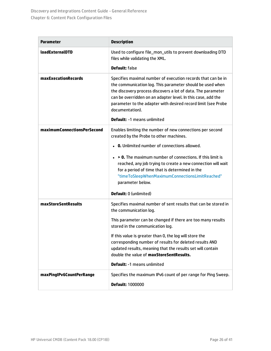<span id="page-25-0"></span>

| <b>Parameter</b>            | <b>Description</b>                                                                                                                                                                                                                                                                                                                                                                  |
|-----------------------------|-------------------------------------------------------------------------------------------------------------------------------------------------------------------------------------------------------------------------------------------------------------------------------------------------------------------------------------------------------------------------------------|
| <b>loadExternalDTD</b>      | Used to configure file_mon_utils to prevent downloading DTD<br>files while validating the XML.                                                                                                                                                                                                                                                                                      |
|                             | <b>Default: false</b>                                                                                                                                                                                                                                                                                                                                                               |
| maxExecutionRecords         | Specifies maximal number of execution records that can be in<br>the communication log. This parameter should be used when<br>the discovery process discovers a lot of data. The parameter<br>can be overridden on an adapter level. In this case, add the<br>parameter to the adapter with desired record limit (see Probe<br>documentation).<br><b>Default: -1 means unlimited</b> |
|                             |                                                                                                                                                                                                                                                                                                                                                                                     |
| maximumConnectionsPerSecond | Enables limiting the number of new connections per second<br>created by the Probe to other machines.                                                                                                                                                                                                                                                                                |
|                             | • 0. Unlimited number of connections allowed.                                                                                                                                                                                                                                                                                                                                       |
|                             | • > 0. The maximum number of connections. If this limit is<br>reached, any job trying to create a new connection will wait<br>for a period of time that is determined in the<br>"timeToSleepWhenMaximumConnectionsLimitReached"<br>parameter below.                                                                                                                                 |
|                             | <b>Default: 0 (unlimited)</b>                                                                                                                                                                                                                                                                                                                                                       |
| maxStoreSentResults         | Specifies maximal number of sent results that can be stored in<br>the communication log.                                                                                                                                                                                                                                                                                            |
|                             | This parameter can be changed if there are too many results<br>stored in the communication log.                                                                                                                                                                                                                                                                                     |
|                             | If this value is greater than 0, the log will store the<br>corresponding number of results for deleted results AND<br>updated results, meaning that the results set will contain<br>double the value of maxStoreSentResults.                                                                                                                                                        |
|                             | <b>Default: -1 means unlimited</b>                                                                                                                                                                                                                                                                                                                                                  |
| maxPingIPv6CountPerRange    | Specifies the maximum IPv6 count of per range for Ping Sweep.                                                                                                                                                                                                                                                                                                                       |
|                             | Default: 1000000                                                                                                                                                                                                                                                                                                                                                                    |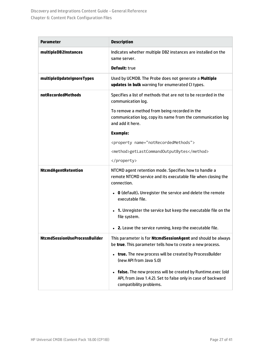| <b>Parameter</b>                     | <b>Description</b>                                                                                                                                       |
|--------------------------------------|----------------------------------------------------------------------------------------------------------------------------------------------------------|
| multipleDB2Instances                 | Indicates whether multiple DB2 instances are installed on the<br>same server.                                                                            |
|                                      | <b>Default: true</b>                                                                                                                                     |
| multipleUpdateIgnoreTypes            | Used by UCMDB. The Probe does not generate a Multiple<br>updates in bulk warning for enumerated CI types.                                                |
| notRecordedMethods                   | Specifies a list of methods that are not to be recorded in the<br>communication log.                                                                     |
|                                      | To remove a method from being recorded in the<br>communication log, copy its name from the communication log<br>and add it here.                         |
|                                      | <b>Example:</b>                                                                                                                                          |
|                                      | <property name="notRecordedMethods"></property>                                                                                                          |
|                                      | <method>getLastCommandOutputBytes</method>                                                                                                               |
|                                      |                                                                                                                                                          |
| <b>NtcmdAgentRetention</b>           | NTCMD agent retention mode. Specifies how to handle a<br>remote NTCMD service and its executable file when closing the<br>connection.                    |
|                                      | • O (default). Unregister the service and delete the remote<br>executable file.                                                                          |
|                                      | • 1. Unregister the service but keep the executable file on the<br>file system.                                                                          |
|                                      | • 2. Leave the service running, keep the executable file.                                                                                                |
| <b>NtcmdSessionUseProcessBuilder</b> | This parameter is for NtcmdSessionAgent and should be always<br>be true. This parameter tells how to create a new process.                               |
|                                      | . true. The new process will be created by ProcessBuilder<br>(new API from Java 5.0)                                                                     |
|                                      | • false. The new process will be created by Runtime.exec (old<br>API, from Java 1.4.2). Set to false only in case of backward<br>compatibility problems. |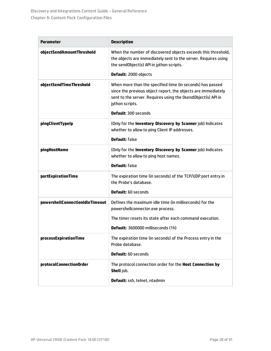| Parameter                       | <b>Description</b>                                                                                                                                                                                            |
|---------------------------------|---------------------------------------------------------------------------------------------------------------------------------------------------------------------------------------------------------------|
| objectSendAmountThreshold       | When the number of discovered objects exceeds this threshold,<br>the objects are immediately sent to the server. Requires using<br>the sendObject(s) API in jython scripts.                                   |
|                                 | Default: 2000 objects                                                                                                                                                                                         |
| objectSendTimeThreshold         | When more than the specified time (in seconds) has passed<br>since the previous object report, the objects are immediately<br>sent to the server. Requires using the OsendObject(s) API in<br>jython scripts. |
|                                 | <b>Default: 300 seconds</b>                                                                                                                                                                                   |
| pingClientTypeIp                | (Only for the Inventory Discovery by Scanner job) Indicates<br>whether to allow to ping Client IP addresses.                                                                                                  |
|                                 | <b>Default: false</b>                                                                                                                                                                                         |
| pingHostName                    | (Only for the Inventory Discovery by Scanner job) Indicates<br>whether to allow to ping host names.                                                                                                           |
|                                 | <b>Default: false</b>                                                                                                                                                                                         |
| portExpirationTime              | The expiration time (in seconds) of the TCP/UDP port entry in<br>the Probe's database.                                                                                                                        |
|                                 | <b>Default: 60 seconds</b>                                                                                                                                                                                    |
| powershellConnectionIdleTimeout | Defines the maximum idle time (in milliseconds) for the<br>powershellconnector.exe process.                                                                                                                   |
|                                 | The timer resets its state after each command execution.                                                                                                                                                      |
|                                 | Default: 3600000 milliseconds (1h)                                                                                                                                                                            |
| processExpirationTime           | The expiration time (in seconds) of the Process entry in the<br>Probe database.                                                                                                                               |
|                                 | Default: 60 seconds                                                                                                                                                                                           |
| protocolConnectionOrder         | The protocol connection order for the Host Connection by<br>Shell job.                                                                                                                                        |
|                                 | Default: ssh, telnet, ntadmin                                                                                                                                                                                 |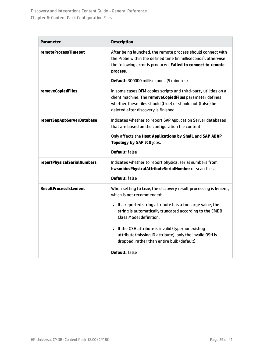| Parameter                     | <b>Description</b>                                                                                                                                                                                                                                                                                                                                                                                                                                    |
|-------------------------------|-------------------------------------------------------------------------------------------------------------------------------------------------------------------------------------------------------------------------------------------------------------------------------------------------------------------------------------------------------------------------------------------------------------------------------------------------------|
| <b>remoteProcessTimeout</b>   | After being launched, the remote process should connect with<br>the Probe within the defined time (in milliseconds), otherwise<br>the following error is produced: Failed to connect to remote<br>process.<br><b>Default: 300000 milliseconds (5 minutes)</b>                                                                                                                                                                                         |
| <b>removeCopiedFiles</b>      | In some cases DFM copies scripts and third-party utilities on a<br>client machine. The removeCopiedFiles parameter defines<br>whether these files should (true) or should not (false) be<br>deleted after discovery is finished.                                                                                                                                                                                                                      |
| reportSapAppServerDatabase    | Indicates whether to report SAP Application Server databases<br>that are based on the configuration file content.<br>Only affects the Host Applications by Shell, and SAP ABAP<br>Topology by SAP JCO jobs.<br><b>Default: false</b>                                                                                                                                                                                                                  |
| reportPhysicalSerialNumbers   | Indicates whether to report physical serial numbers from<br>hwsmbiosPhysicalAttributeSerialNumber of scan files.<br><b>Default: false</b>                                                                                                                                                                                                                                                                                                             |
| <b>ResultProcessIsLenient</b> | When setting to true, the discovery result processing is lenient,<br>which is not recommended:<br>• If a reported string attribute has a too large value, the<br>string is automatically truncated according to the CMDB<br><b>Class Model definition.</b><br>• If the OSH attribute is invalid (type/nonexisting<br>attribute/missing ID attribute), only the invalid OSH is<br>dropped, rather than entire bulk (default).<br><b>Default:</b> false |
|                               |                                                                                                                                                                                                                                                                                                                                                                                                                                                       |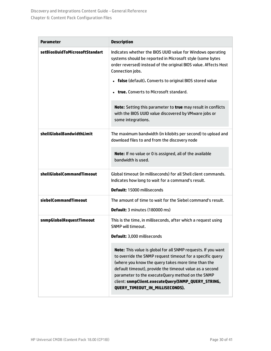| <b>Parameter</b>               | <b>Description</b>                                                                                                                                                                                                                                                                                                                                                                                                                                                      |
|--------------------------------|-------------------------------------------------------------------------------------------------------------------------------------------------------------------------------------------------------------------------------------------------------------------------------------------------------------------------------------------------------------------------------------------------------------------------------------------------------------------------|
| setBiosUuidToMicrosoftStandart | Indicates whether the BIOS UUID value for Windows operating<br>systems should be reported in Microsoft style (some bytes<br>order reversed) instead of the original BIOS value. Affects Host<br>Connection jobs.<br>• false (default). Converts to original BIOS stored value<br>• true. Converts to Microsoft standard.<br>Note: Setting this parameter to true may result in conflicts<br>with the BIOS UUID value discovered by VMware jobs or<br>some integrations. |
|                                |                                                                                                                                                                                                                                                                                                                                                                                                                                                                         |
| shellGlobalBandwidthLimit      | The maximum bandwidth (in kilobits per second) to upload and<br>download files to and from the discovery node                                                                                                                                                                                                                                                                                                                                                           |
|                                | Note: If no value or 0 is assigned, all of the available<br>bandwidth is used.                                                                                                                                                                                                                                                                                                                                                                                          |
| shellGlobalCommandTimeout      | Global timeout (in milliseconds) for all Shell client commands.<br>Indicates how long to wait for a command's result.<br>Default: 15000 milliseconds                                                                                                                                                                                                                                                                                                                    |
| siebelCommandTimeout           | The amount of time to wait for the Siebel command's result.<br>Default: 3 minutes (180000 ms)                                                                                                                                                                                                                                                                                                                                                                           |
| snmpGlobalRequestTimeout       | This is the time, in milliseconds, after which a request using<br>SNMP will timeout.<br>Default: 3,000 milliseconds                                                                                                                                                                                                                                                                                                                                                     |
|                                | Note: This value is global for all SNMP requests. If you want<br>to override the SNMP request timeout for a specific query<br>(where you know the query takes more time than the<br>default timeout), provide the timeout value as a second<br>parameter to the executeQuery method on the SNMP<br>client: snmpClient.executeQuery(SNMP_QUERY_STRING,<br>QUERY_TIMEOUT_IN_MILLISECONDS).                                                                                |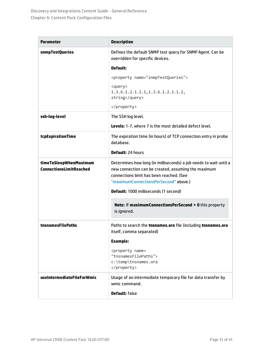<span id="page-30-0"></span>

| snmpTestQueries                                          | Defines the default SNMP test query for SNMP Agent. Can be<br>overridden for specific devices.                                                                                                                |
|----------------------------------------------------------|---------------------------------------------------------------------------------------------------------------------------------------------------------------------------------------------------------------|
|                                                          | <b>Default:</b>                                                                                                                                                                                               |
|                                                          | <property name="snmpTestQueries"></property>                                                                                                                                                                  |
|                                                          | <query><br/>1.3.6.1.2.1.1.1,1.3.6.1.2.1.1.2,<br/>string</query>                                                                                                                                               |
|                                                          |                                                                                                                                                                                                               |
| ssh-log-level                                            | The SSH log level.                                                                                                                                                                                            |
|                                                          | Levels: 1-7, where 7 is the most detailed defect level.                                                                                                                                                       |
| tcpExpirationTime                                        | The expiration time (in hours) of TCP connection entry in probe<br>database.                                                                                                                                  |
|                                                          | <b>Default: 24 hours</b>                                                                                                                                                                                      |
| timeToSleepWhenMaximum<br><b>ConnectionsLimitReached</b> | Determines how long (in milliseconds) a job needs to wait until a<br>new connection can be created, assuming the maximum<br>connections limit has been reached. (See<br>"maximumConnectionsPerSecond" above.) |
|                                                          | <b>Default: 1000 milliseconds (1 second)</b>                                                                                                                                                                  |
|                                                          | Note: If maximumConnectionsPerSecond = 0 this property<br>is ignored.                                                                                                                                         |
| tnsnamesFilePaths                                        | Paths to search the tnsnames.ora file (including tnsnames.ora<br>itself, comma separated)                                                                                                                     |
|                                                          | <b>Example:</b>                                                                                                                                                                                               |
|                                                          | <property name="&lt;br">"tnsnamesFilePaths"&gt;<br/>c:\temp\tnsnames.ora<br/></property>                                                                                                                      |
| useIntermediateFileForWmic                               | Usage of an intermediate temporary file for data transfer by<br>wmic command.<br><b>Default: false</b>                                                                                                        |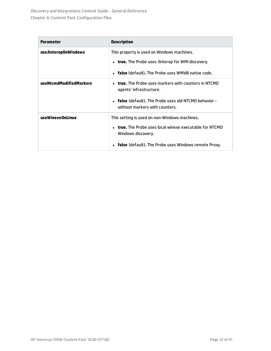| <b>Parameter</b>        | <b>Description</b>                                                                       |
|-------------------------|------------------------------------------------------------------------------------------|
| useJinteropOnWindows    | This property is used on Windows machines.                                               |
|                         | • true. The Probe uses Jinterop for WMI discovery.                                       |
|                         | • false (default). The Probe uses WMIdll native code.                                    |
| useNtcmdModifiedMarkers | $\bullet$ true. The Probe uses markers with counters in NTCMD<br>agents' infrastructure. |
|                         | • false (default). The Probe uses old NTCMD behavior -<br>without markers with counters. |
| useWinexeOnLinux        | This setting is used on non-Windows machines.                                            |
|                         | • true. The Probe uses local winexe executable for NTCMD<br>Windows discovery.           |
|                         | • false (default). The Probe uses Windows remote Proxy.                                  |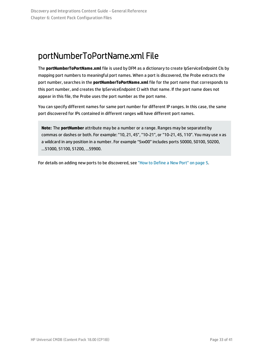## <span id="page-32-0"></span>portNumberToPortName.xml File

The **portNumberToPortName.xml** file is used by DFM as a dictionary to create IpServiceEndpoint CIs by mapping port numbers to meaningful port names. When a port is discovered, the Probe extracts the port number, searches in the **portNumberToPortName.xml** file for the port name that corresponds to this port number, and creates the IpServiceEndpoint CI with that name. If the port name does not appear in this file, the Probe uses the port number as the port name.

You can specify different names for same port number for different IP ranges. In this case, the same port discovered for IPs contained in different ranges will have different port names.

**Note:** The **portNumber** attribute may be a number or a range. Ranges may be separated by commas or dashes or both. For example: "10, 21, 45", "10-21", or "10-21, 45, 110". You may use x as a wildcard in any position in a number. For example "5xx00" includes ports 50000, 50100, 50200, …51000, 51100, 51200, …59900.

For details on adding new ports to be discovered, see "How to Define a New Port" on [page 5](#page-4-0).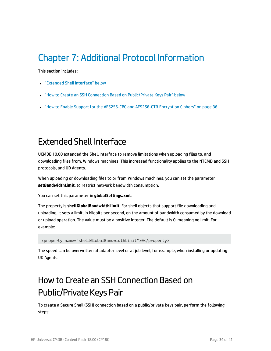# <span id="page-33-0"></span>Chapter 7: Additional Protocol Information

This section includes:

- **.** ["Extended](#page-33-1) Shell Interface" below
- . "How to Create an SSH Connection Based on [Public/Private](#page-33-2) Keys Pair" below
- "How to Enable Support for the AES256-CBC and [AES256-CTR](#page-35-0) Encryption Ciphers" on page 36

### <span id="page-33-1"></span>Extended Shell Interface

UCMDB 10.00 extended the Shell Interface to remove limitations when uploading files to, and downloading files from, Windows machines. This increased functionality applies to the NTCMD and SSH protocols, and UD Agents.

When uploading or downloading files to or from Windows machines, you can set the parameter **setBandwidthLimit**, to restrict network bandwidth consumption.

You can set this parameter in **globalSettings.xml**:

The property is **shellGlobalBandwidthLimit**. For shell objects that support file downloading and uploading, it sets a limit, in kilobits per second, on the amount of bandwidth consumed by the download or upload operation. The value must be a positive integer. The default is 0, meaning no limit. For example:

<property name="shellGlobalBandwidthLimit">0</property>

The speed can be overwritten at adapter level or at job level; for example, when installing or updating UD Agents.

## <span id="page-33-2"></span>How to Create an SSH Connection Based on Public/Private Keys Pair

To create a Secure Shell (SSH) connection based on a public/private keys pair, perform the following steps: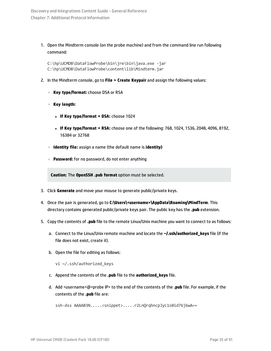1. Open the Mindterm console (on the probe machine) and from the command line run following command:

C:\hp\UCMDB\DataFlowProbe\bin\jre\bin\java.exe -jar C:\hp\UCMDB\DataFlowProbe\content\lib\Mindterm.jar

- 2. In the Mindterm console, go to **File > Create Keypair** and assign the following values:
	- <sup>o</sup> **Key type/format:** choose DSA or RSA
	- <sup>o</sup> **Key length:**
		- <sup>l</sup> **If Key type/format = DSA:** choose 1024
		- <sup>l</sup> **If Key type/format = RSA:** choose one of the following: 768, 1024, 1536, 2048, 4096, 8192, 16384 or 32768
	- <sup>o</sup> **Identity file:** assign a name (the default name is **identity)**
	- <sup>o</sup> **Password:** for no password, do not enter anything

**Caution:** The **OpenSSH .pub format** option must be selected.

- 3. Click **Generate** and move your mouse to generate public/private keys.
- 4. Once the pair is generated, go to **C:\Users\<username>\AppData\Roaming\MindTerm**. This directory contains generated public/private keys pair. The public key has the **.pub** extension.
- 5. Copy the contents of **.pub** file to the remote Linux/Unix machine you want to connect to as follows:
	- a. Connect to the Linux/Unix remote machine and locate the **~/.ssh/authorized\_keys** file (if the file does not exist, create it).
	- b. Open the file for editing as follows:
		- vi ~/.ssh/authorized keys
	- c. Append the contents of the **.pub** file to the **authorized\_keys** file.
	- d. Add <username>@<probe IP> to the end of the contents of the **.pub** file. For example, if the contents of the **.pub** file are:

ssh-dss AAAAB3N.....<snippet>.....r2LnQrqhncpJyL1s0id76j6wA==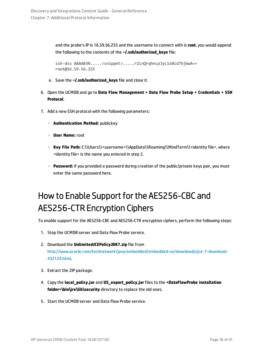and the probe's IP is 16.59.56.255 and the username to connect with is **root**, you would append the following to the contents of the **~/.ssh/authorized\_keys** file:

ssh-dss AAAAB3N.....<snippet>.....r2LnQrqhncpJyL1s0id76j6wA== root@16.59.56.255

- e. Save the **~/.ssh/authorized\_keys** file and close it.
- 6. Open the UCMDB and go to **Data Flow Management > Data Flow Probe Setup > Credentials > SSH Protocol**.
- 7. Add a new SSH protocol with the following parameters:
	- <sup>o</sup> **Authentication Method:** publickey
	- <sup>o</sup> **User Name:** root
	- **Key File Path: C:\\Users\\<username>\\AppData\\Roaming\\MindTerm\\<identity file>, where** <identity file> is the name you entered in step 2.
	- <sup>o</sup> **Password:** if you provided a password during creation of the public/private keys pair, you must enter the same password here.

## <span id="page-35-0"></span>How to Enable Support for the AES256-CBC and AES256-CTR Encryption Ciphers

To enable support for the AES256-CBC and AES256-CTR encryption ciphers, perform the following steps:

- 1. Stop the UCMDB server and Data Flow Probe service.
- 2. Download the **UnlimitedJCEPolicyJDK7.zip** file from [http://www.oracle.com/technetwork/java/embedded/embedded-se/downloads/jce-7-download-](http://www.oracle.com/technetwork/java/embedded/embedded-se/downloads/jce-7-download-432124.html)[432124.html](http://www.oracle.com/technetwork/java/embedded/embedded-se/downloads/jce-7-download-432124.html).
- 3. Extract the ZIP package.
- 4. Copy the **local\_policy.jar** and **US\_export\_policy.jar** files to the **<DataFlowProbe installation folder>\bin\jre\lib\security** directory to replace the old ones.
- 5. Start the UCMDB server and Data Flow Probe service.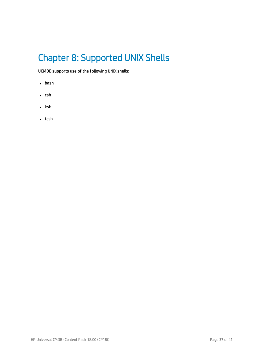# <span id="page-36-0"></span>Chapter 8: Supported UNIX Shells

UCMDB supports use of the following UNIX shells:

- $\bullet$  bash
- $\cdot$  csh
- $\cdot$  ksh
- $\cdot$  tcsh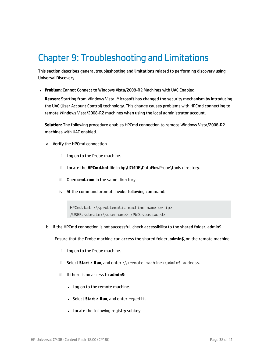# <span id="page-37-0"></span>Chapter 9: Troubleshooting and Limitations

This section describes general troubleshooting and limitations related to performing discovery using Universal Discovery.

**• Problem**: Cannot Connect to Windows Vista/2008-R2 Machines with UAC Enabled

**Reason:** Starting from Windows Vista, Microsoft has changed the security mechanism by introducing the UAC (User Account Control) technology. This change causes problems with HPCmd connecting to remote Windows Vista/2008-R2 machines when using the local administrator account.

**Solution:** The following procedure enables HPCmd connection to remote Windows Vista/2008-R2 machines with UAC enabled.

- <span id="page-37-1"></span>a. Verify the HPCmd connection
	- i. Log on to the Probe machine.
	- ii. Locate the **HPCmd.bat** file in hp\UCMDB\DataFlowProbe\tools directory.
	- iii. Open **cmd.com** in the same directory.
	- iv. At the command prompt, invoke following command:

HPCmd.bat \\<problematic machine name or ip> /USER:<domain>\<username> /PWD:<password>

b. If the HPCmd connection is not successful, check accessibility to the shared folder, admin\$.

Ensure that the Probe machine can access the shared folder, **admin\$**, on the remote machine.

- i. Log on to the Probe machine.
- ii. Select **Start > Run**, and enter \\<remote machine>\admin\$ address.
- iii. If there is no access to **admin\$**:
	- Log on to the remote machine.
	- Select Start > Run, and enter regedit.
	- Locate the following registry subkey: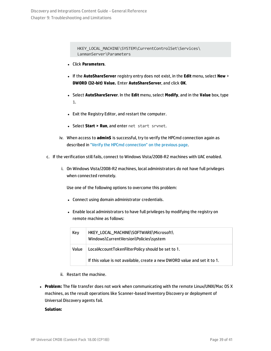HKEY\_LOCAL\_MACHINE\SYSTEM\CurrentControlSet\Services\ LanmanServer\Parameters

- <sup>l</sup> Click **Parameters**.
- <sup>l</sup> If the **AutoShareServer** registry entry does not exist, in the **Edit** menu, select **New** > **DWORD (32-bit) Value.** Enter **AutoShareServer**, and click **OK**.
- <sup>l</sup> Select **AutoShareServer**. In the **Edit** menu, select **Modify**, and in the **Value** box, type 1.
- Exit the Registry Editor, and restart the computer.
- <sup>l</sup> Select **Start > Run**, and enter net start srvnet.
- iv. When access to **admin\$** is successful, try to verify the HPCmd connection again as described in "Verify the HPCmd [connection"](#page-37-1) on the previous page.
- c. If the verification still fails, connect to Windows Vista/2008-R2 machines with UAC enabled.
	- i. On Windows Vista/2008-R2 machines, local administrators do not have full privileges when connected remotely.

Use one of the following options to overcome this problem:

- Connect using domain administrator credentials.
- Enable local administrators to have full privileges by modifying the registry on remote machine as follows:

| Key   | HKEY_LOCAL_MACHINE\SOFTWARE\Microsoft\<br>Windows\CurrentVersion\Policies\system |
|-------|----------------------------------------------------------------------------------|
| Value | LocalAccountTokenFilterPolicy should be set to 1.                                |
|       | If this value is not available, create a new DWORD value and set it to 1.        |

- ii. Restart the machine.
- **Problem:** The file transfer does not work when communicating with the remote Linux/UNIX/Mac OS X machines, as the result operations like Scanner-based Inventory Discovery or deployment of Universal Discovery agents fail.

#### **Solution:**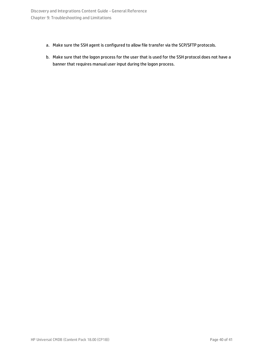- a. Make sure the SSH agent is configured to allow file transfer via the SCP/SFTP protocols.
- b. Make sure that the logon process for the user that is used for the SSH protocol does not have a banner that requires manual user input during the logon process.